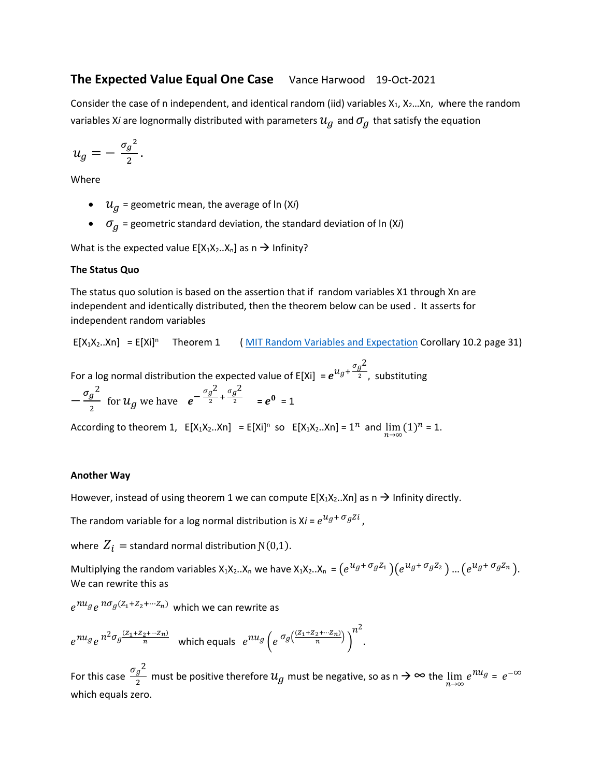# **The Expected Value Equal One Case** Vance Harwood 19-Oct-2021

Consider the case of n independent, and identical random (iid) variables  $X_1, X_2...X_n$ , where the random variables X*i* are lognormally distributed with parameters  $u_q$  and  $\sigma_q$  that satisfy the equation

$$
u_g=-\frac{{\sigma_g}^2}{2}.
$$

Where

- $u_q$  = geometric mean, the average of ln (X*i*)
- $\sigma_a$  = geometric standard deviation, the standard deviation of ln (X*i*)

What is the expected value  $E[X_1X_2..X_n]$  as  $n \rightarrow$  Infinity?

# **The Status Quo**

The status quo solution is based on the assertion that if random variables X1 through Xn are independent and identically distributed, then the theorem below can be used . It asserts for independent random variables

 $E[X_1X_2..X_n] = E[Xi]^n$  Theorem 1 (MIT Random Variables and Expectation Corollary 10.2 page 31)

For a log normal distribution the expected value of E[Xi] =  $e^{u_g + \frac{\sigma_g^2}{2}}$  $\overline{2}$ , substituting  $-\frac{\sigma_g^2}{2}$  $\frac{g^2}{2}$  for  $u_g$  we have  $e^{-\frac{\sigma_g^2}{2}}$  $\frac{g^2}{2} + \frac{\sigma_g^2}{2}$  $\frac{e^{\frac{9}{2}}}{2}$  =  $e^{\frac{1}{2}}$  = 1

According to theorem 1,  $E[X_1X_2..X_n] = E[X_i]^n$  so  $E[X_1X_2..X_n] = 1^n$  and  $\lim_{n \to \infty} (1)^n = 1$ .

# **Another Way**

However, instead of using theorem 1 we can compute  $E[X_1X_2..X_n]$  as  $n \rightarrow$  Infinity directly.

The random variable for a log normal distribution is X*i* =  $e^{u_g + \sigma_g Z i}$  ,

where  $Z_i$  = standard normal distribution  $N(0,1)$ .

Multiplying the random variables  $X_1X_2..X_n$  we have  $X_1X_2..X_n = (e^{u_g+\sigma_g Z_1})(e^{u_g+\sigma_g Z_2})...(e^{u_g+\sigma_g Z_n})$ . We can rewrite this as

 $e^{n u_g} e^{n \sigma_g (Z_1 + Z_2 + \cdots Z_n)}$  which we can rewrite as

$$
e^{nu_g}e^{n^2\sigma_g\frac{(z_1+z_2+\cdots+z_n)}{n}}\quad\text{which equals}\quad e^{nu_g}\left(e^{\sigma_g\left(\frac{(z_1+z_2+\cdots+z_n)}{n}\right)}\right)^{n^2}.
$$

For this case  $\frac{\sigma_g^2}{2}$  $\frac{g^2}{2}$  must be positive therefore  $u_g$  must be negative, so as n  $\to \infty$  the  $\lim\limits_{n\to \infty}e^{nu_g}=e^{-\infty}$ which equals zero.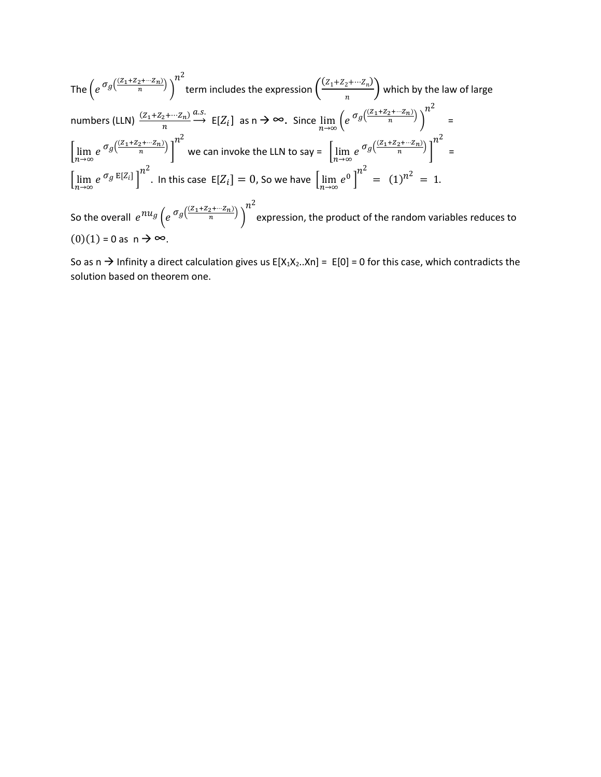The 
$$
\left(e^{\sigma_g\left(\frac{(Z_1+Z_2+\cdots Z_n)}{n}\right)}\right)^{n^2}
$$
 term includes the expression  $\left(\frac{(Z_1+Z_2+\cdots Z_n)}{n}\right)$  which by the law of large  
numbers (LLN)  $\frac{(Z_1+Z_2+\cdots Z_n)}{n} \xrightarrow{a.s.}$  E[Z<sub>i</sub>] as  $n \to \infty$ . Since  $\lim_{n\to\infty} \left(e^{\sigma_g\left(\frac{(Z_1+Z_2+\cdots Z_n)}{n}\right)}\right)^{n^2}$  =  
 $\left[\lim_{n\to\infty} e^{\sigma_g\left(\frac{(Z_1+Z_2+\cdots Z_n)}{n}\right)}\right]^{n^2}$  we can invoke the LLN to say =  $\left[\lim_{n\to\infty} e^{\sigma_g\left(\frac{(Z_1+Z_2+\cdots Z_n)}{n}\right)}\right]^{n^2}$  =  
 $\left[\lim_{n\to\infty} e^{\sigma_g E[Z_i]}\right]^{n^2}$ . In this case E[Z<sub>i</sub>] = 0, so we have  $\left[\lim_{n\to\infty} e^0\right]^{n^2}$  =  $(1)^{n^2} = 1$ .  
So the overall  $e^{nu_g}\left(e^{\sigma_g\left(\frac{(Z_1+Z_2+\cdots Z_n)}{n}\right)}\right)^{n^2}$  expression, the product of the random variables reduces to  
 $(0)(1) = 0$  as  $n \to \infty$ .

So as n  $\rightarrow$  Infinity a direct calculation gives us E[X<sub>1</sub>X<sub>2</sub>..Xn] = E[0] = 0 for this case, which contradicts the solution based on theorem one.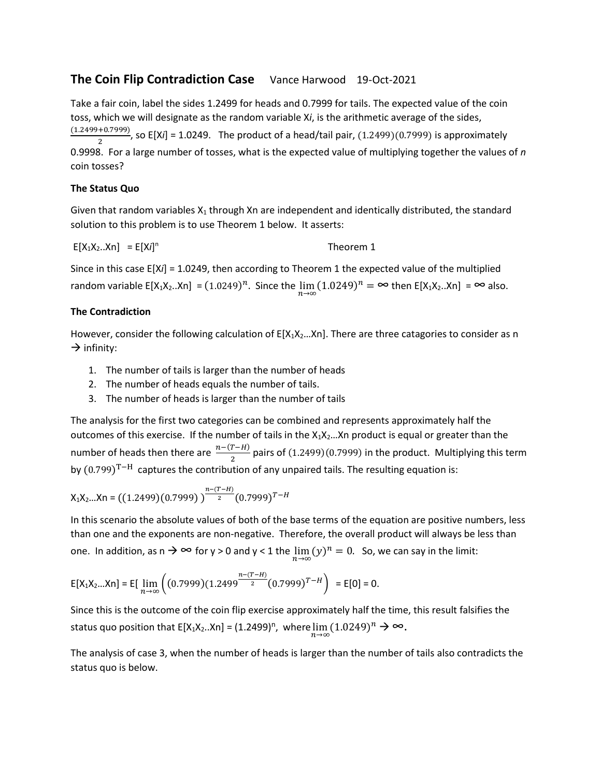# **The Coin Flip Contradiction Case** Vance Harwood 19-Oct-2021

Take a fair coin, label the sides 1.2499 for heads and 0.7999 for tails. The expected value of the coin toss, which we will designate as the random variable X*i*, is the arithmetic average of the sides, (1.2499+0.7999)  $\frac{(0.7555)}{2}$ , so E[X*i*] = 1.0249. The product of a head/tail pair,  $(1.2499)(0.7999)$  is approximately 0.9998. For a large number of tosses, what is the expected value of multiplying together the values of *n* coin tosses?

# **The Status Quo**

Given that random variables  $X_1$  through Xn are independent and identically distributed, the standard solution to this problem is to use Theorem 1 below. It asserts:

 $E[X_1X_2..Xn] = E[X_i]^{n}$ Theorem 1

Since in this case E[X*i*] = 1.0249, then according to Theorem 1 the expected value of the multiplied random variable  $E[X_1X_2..Xn] = (1.0249)^n$ . Since the  $\lim_{n\to\infty} (1.0249)^n = \infty$  then  $E[X_1X_2..Xn] = \infty$  also.

# **The Contradiction**

However, consider the following calculation of  $E[X_1X_2...X_n]$ . There are three catagories to consider as n  $\rightarrow$  infinity:

- 1. The number of tails is larger than the number of heads
- 2. The number of heads equals the number of tails.
- 3. The number of heads is larger than the number of tails

The analysis for the first two categories can be combined and represents approximately half the outcomes of this exercise. If the number of tails in the  $X_1X_2...X_n$  product is equal or greater than the number of heads then there are  $\frac{n-(T-H)}{2}$  pairs of (1.2499)(0.7999) in the product. Multiplying this term by  $(0.799)^{T-H}$  captures the contribution of any unpaired tails. The resulting equation is:

$$
X_1X_2...X_n = ((1.2499)(0.7999))^{n-(T-H)} (0.7999)^{T-H}
$$

In this scenario the absolute values of both of the base terms of the equation are positive numbers, less than one and the exponents are non-negative. Therefore, the overall product will always be less than one. In addition, as n  $\rightarrow \infty$  for y > 0 and y < 1 the  $\lim_{n\to\infty} (y)^n = 0$ . So, we can say in the limit:

$$
\mathsf{E}[X_1X_2...X_n] = \mathsf{E}[\lim_{n\to\infty}\left((0.7999)(1.2499^{\frac{n-(T-H)}{2}}(0.7999)^{T-H}\right)] = \mathsf{E}[0] = 0.
$$

Since this is the outcome of the coin flip exercise approximately half the time, this result falsifies the status quo position that E[X<sub>1</sub>X<sub>2</sub>..Xn] = (1.2499)<sup>n</sup>, where  $\lim_{n\to\infty}(1.0249)^n \to \infty$ .

The analysis of case 3, when the number of heads is larger than the number of tails also contradicts the status quo is below.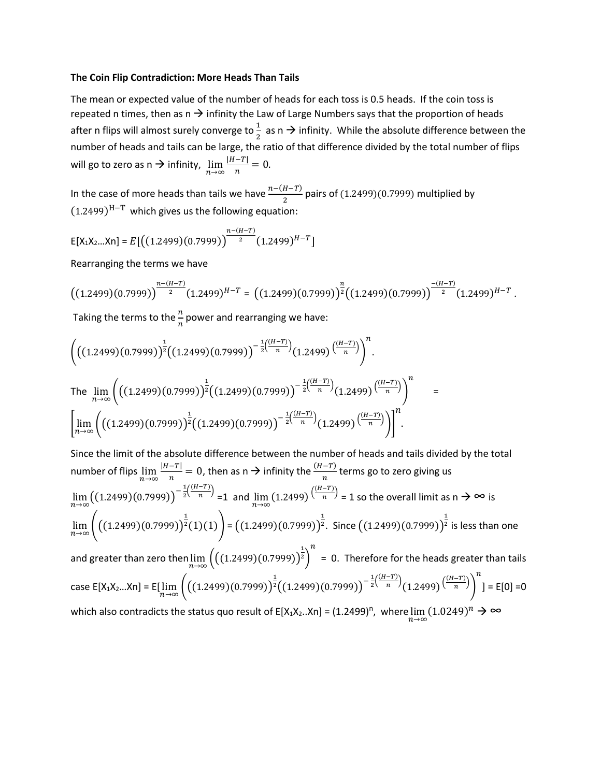#### **The Coin Flip Contradiction: More Heads Than Tails**

The mean or expected value of the number of heads for each toss is 0.5 heads. If the coin toss is repeated n times, then as  $n \rightarrow$  infinity the Law of Large Numbers says that the proportion of heads after n flips will almost surely converge to $\frac{1}{2}$  as n  $\rightarrow$  infinity. While the absolute difference between the number of heads and tails can be large, the ratio of that difference divided by the total number of flips will go to zero as n  $\rightarrow$  infinity,  $\lim_{n\rightarrow\infty}\frac{|H-T|}{n}$  $\frac{-1}{n} = 0.$ 

In the case of more heads than tails we have  $\frac{n-(H-T)}{2}$  pairs of (1.2499)(0.7999) multiplied by  $(1.2499)^{H-T}$  which gives us the following equation:

$$
E[X_1X_2...X_n] = E\left[\left((1.2499)(0.7999)\right)^{\frac{n-(H-T)}{2}}(1.2499)^{H-T}\right]
$$

Rearranging the terms we have

$$
\left((1.2499)(0.7999)\right)^{\frac{n-(H-T)}{2}}(1.2499)^{H-T}=\left((1.2499)(0.7999)\right)^{\frac{n}{2}}\left((1.2499)(0.7999)\right)^{\frac{-(H-T)}{2}}(1.2499)^{H-T}\;.
$$

Taking the terms to the  $\frac{n}{n}$  power and rearranging we have:

$$
\left( \left( (1.2499)(0.7999) \right)^{\frac{1}{2}} \left( (1.2499)(0.7999) \right)^{-\frac{1}{2} \left( \frac{(H-T)}{n} \right)} (1.2499) \left( \frac{(H-T)}{n} \right) \right)^{n}.
$$
\nThe  $\lim_{n \to \infty} \left( \left( (1.2499)(0.7999) \right)^{\frac{1}{2}} \left( (1.2499)(0.7999) \right)^{-\frac{1}{2} \left( \frac{(H-T)}{n} \right)} (1.2499) \left( \frac{(H-T)}{n} \right) \right)^{n}$  =  $\left[ \lim_{n \to \infty} \left( \left( (1.2499)(0.7999) \right)^{\frac{1}{2}} \left( (1.2499)(0.7999) \right)^{-\frac{1}{2} \left( \frac{(H-T)}{n} \right)} (1.2499) \left( \frac{(H-T)}{n} \right) \right) \right]^{n}.$ 

Since the limit of the absolute difference between the number of heads and tails divided by the total number of flips  $\lim_{n\to\infty}\frac{|H-T|}{n}$  $\frac{-T|}{n}$  = 0, then as n → infinity the  $\frac{(H-T)}{n}$  terms go to zero giving us  $\lim_{n\to\infty} ((1.2499)(0.7999))^{-\frac{1}{2}}$  $rac{1}{2}(\frac{(H-T)}{n})$  $\binom{n}{n}$  =1 and  $\lim_{n\to\infty}$  (1.2499)  $\left(\frac{(H-T)}{n}\right)$  $\frac{1}{n}$  = 1 so the overall limit as n  $\rightarrow \infty$  is  $\lim_{n\to\infty}$   $\left(\left((1.2499)(0.7999)\right)^{\frac{1}{2}}(1)(1)\right)$  =  $\left((1.2499)(0.7999)\right)^{\frac{1}{2}}$  $\frac{1}{2}$ . Since  $\left((1.2499)(0.7999)\right)^{\frac{1}{2}}$ 2 is less than one and greater than zero then $\displaystyle{\lim_{n\to \infty}}\Big(\big((1.2499)(0.7999)\big)^{\!\frac{1}{2}}$ 2)  $\boldsymbol{n}$ = 0. Therefore for the heads greater than tails case E[X<sub>1</sub>X<sub>2</sub>…Xn] = E[ $\lim_{n\to\infty}$   $\Biggl( \bigl((1.2499)(0.7999)\bigr)^{\frac{1}{2}} \biggl((1.2499)(0.7999)\bigr)^{-\frac{1}{2}}$  $rac{1}{2}(\frac{(H-T)}{n})$  $\frac{(-T)}{n}$ <sub>(1.2499)</sub>  $\frac{(H-T)}{n}$  $\frac{1}{n}$ )  $\boldsymbol{n}$ ] = E[0] =0 which also contradicts the status quo result of E[X<sub>1</sub>X<sub>2</sub>..Xn] = (1.2499)<sup>n</sup>, where  $\lim_{n\to\infty}(1.0249)^n\to\infty$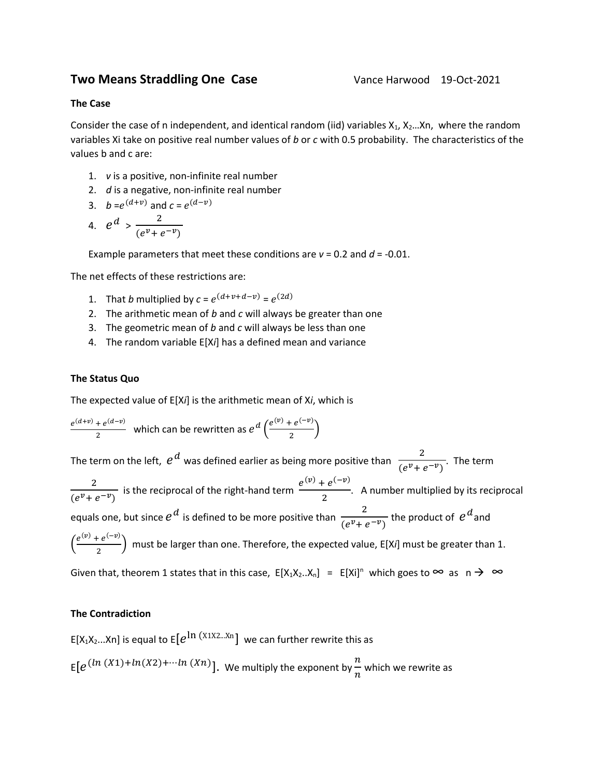# **Two Means Straddling One Case** Vance Harwood 19-Oct-2021

### **The Case**

Consider the case of n independent, and identical random (iid) variables  $X_1$ ,  $X_2$ ... $X_n$ , where the random variables Xi take on positive real number values of *b* or *c* with 0.5 probability. The characteristics of the values b and c are:

- 1. *v* is a positive, non-infinite real number
- 2. *d* is a negative, non-infinite real number
- 3.  $b = e^{(d+v)}$  and  $c = e^{(d-v)}$

4. 
$$
e^d > \frac{2}{(e^v + e^{-v})}
$$

Example parameters that meet these conditions are *v* = 0.2 and *d* = -0.01.

The net effects of these restrictions are:

- 1. That *b* multiplied by  $c = e^{(d+\nu+d-\nu)} = e^{(2d)}$
- 2. The arithmetic mean of *b* and *c* will always be greater than one
- 3. The geometric mean of *b* and *c* will always be less than one
- 4. The random variable E[X*i*] has a defined mean and variance

# **The Status Quo**

The expected value of E[X*i*] is the arithmetic mean of X*i*, which is

 $e^{(d+v)} + e^{(d-v)}$  $\frac{1}{2}e^{(d-v)}$  which can be rewritten as  $e^{d}\left(\frac{e^{(v)}+e^{(-v)}}{2}\right)$  $\frac{e^{i} \cdot \cdot \cdot}{2}$ 

The term on the left,  $e^d$  was defined earlier as being more positive than  $\frac{2}{\sqrt{e^{n-1}}}$  $\frac{1}{(e^{\nu}+e^{-\nu})}$ . The term 2  $\frac{2}{(e^{\nu}+e^{-\nu})}$  is the reciprocal of the right-hand term  $\frac{e^{(\nu)}+e^{(-\nu)}}{2}$  $\frac{1}{2}$ . A number multiplied by its reciprocal equals one, but since  $e^{d}$  is defined to be more positive than  $\frac{2}{\sqrt{e^{u}}+1}$  $\frac{2}{(e^{\nu}+e^{-\nu})}$  the product of  $e^{d}$  and  $\left(\frac{e^{(v)} + e^{(-v)}}{2}\right)$  $\left(\frac{e^{2x}}{2}\right)$  must be larger than one. Therefore, the expected value, E[X*i*] must be greater than 1. Given that, theorem 1 states that in this case,  $E[X_1X_2..X_n] = E[X_i]^n$  which goes to  $\infty$  as  $n \to \infty$ 

# **The Contradiction**

E[X $_1$ X $_2$ ...Xn] is equal to E $[e^{\ln{(X1X2\dots Xn}}]$  we can further rewrite this as  $E[e^{(ln (X1)+ln(X2)+...ln (Xn)}]$ . We multiply the exponent by  $\frac{n}{n}$  $\frac{1}{n}$  which we rewrite as  $n$